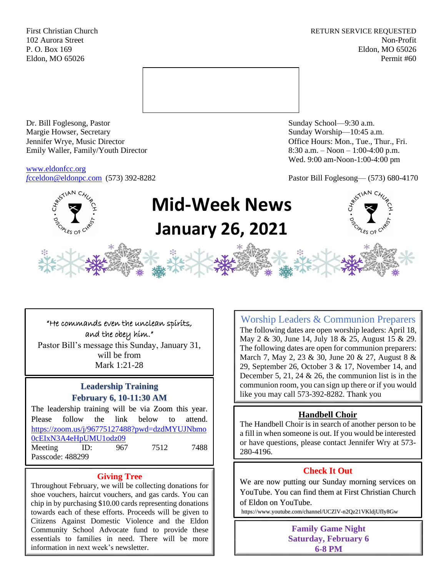First Christian Church **RETURN SERVICE REQUESTED** 102 Aurora Street Non-Profit P. O. Box 169 Eldon, MO 65026 Eldon, MO 65026 Permit #60



Dr. Bill Foglesong, Pastor Sunday School—9:30 a.m. Margie Howser, Secretary Sunday Worship—10:45 a.m. Jennifer Wrye, Music Director Office Hours: Mon., Tue., Thur., Fri. Emily Waller, Family/Youth Director 8:30 a.m. – Noon – 1:00-4:00 p.m.

[www.eldonfcc.org](http://www.eldonfcc.org/)

Wed. 9:00 am-Noon-1:00-4:00 pm

*f*[cceldon@eldonpc.com](mailto:fcceldon@eldonpc.com) (573) 392-8282 Pastor Bill Foglesong— (573) 680-4170



# **Mid-Week News January 26, 2021**

"He commands even the unclean spirits, and the obey him." Pastor Bill's message this Sunday, January 31, will be from Mark 1:21-28

# **Leadership Training February 6, 10-11:30 AM**

The leadership training will be via Zoom this year. Please follow the link below to attend. [https://zoom.us/j/96775127488?pwd=dzdMYUJNbmo](https://zoom.us/j/96775127488?pwd=dzdMYUJNbmo0cEIxN3A4eHpUMU1odz09) [0cEIxN3A4eHpUMU1odz09](https://zoom.us/j/96775127488?pwd=dzdMYUJNbmo0cEIxN3A4eHpUMU1odz09) Meeting ID: 967 7512 7488 Passcode: 488299

## **Giving Tree**

Throughout February, we will be collecting donations for shoe vouchers, haircut vouchers, and gas cards. You can chip in by purchasing \$10.00 cards representing donations towards each of these efforts. Proceeds will be given to Citizens Against Domestic Violence and the Eldon Community School Advocate fund to provide these essentials to families in need. There will be more information in next week's newsletter.

Worship Leaders & Communion Preparers The following dates are open worship leaders: April 18, May 2 & 30, June 14, July 18 & 25, August 15 & 29. The following dates are open for communion preparers: March 7, May 2, 23 & 30, June 20 & 27, August 8 & 29, September 26, October 3 & 17, November 14, and December 5, 21, 24  $\&$  26, the communion list is in the communion room, you can sign up there or if you would like you may call 573-392-8282. Thank you

# **Handbell Choir**

The Handbell Choir is in search of another person to be a fill in when someone is out. If you would be interested or have questions, please contact Jennifer Wry at 573- 280-4196.

# **Check It Out**

We are now putting our Sunday morning services on YouTube. You can find them at First Christian Church of Eldon on YouTube.

https://www.youtube.com/channel/UCZlV-n2Qz21VKldjUfIy8Gw

**Family Game Night Saturday, February 6 6-8 PM**